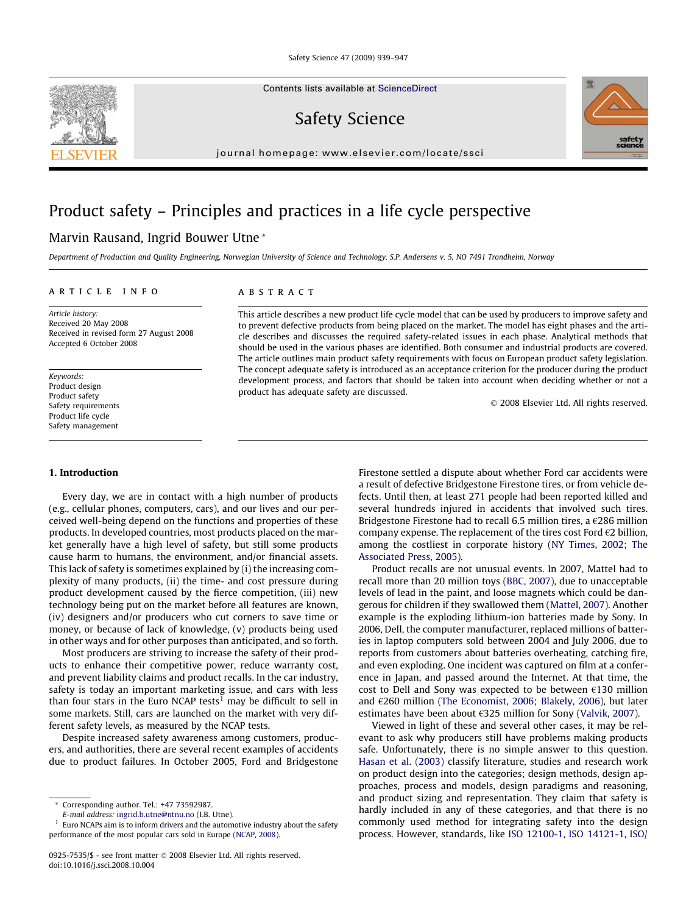Safety Science 47 (2009) 939–947

Contents lists available at [ScienceDirect](http://www.sciencedirect.com/science/journal/09257535)

Safety Science

journal homepage: [www.elsevier.com/locate/ssci](http://www.elsevier.com/locate/ssci)

# Product safety – Principles and practices in a life cycle perspective

## Marvin Rausand, Ingrid Bouwer Utne \*

Department of Production and Quality Engineering, Norwegian University of Science and Technology, S.P. Andersens v. 5, NO 7491 Trondheim, Norway

#### article info

Article history: Received 20 May 2008 Received in revised form 27 August 2008 Accepted 6 October 2008

Keywords: Product design Product safety Safety requirements Product life cycle Safety management

### 1. Introduction

Every day, we are in contact with a high number of products (e.g., cellular phones, computers, cars), and our lives and our perceived well-being depend on the functions and properties of these products. In developed countries, most products placed on the market generally have a high level of safety, but still some products cause harm to humans, the environment, and/or financial assets. This lack of safety is sometimes explained by (i) the increasing complexity of many products, (ii) the time- and cost pressure during product development caused by the fierce competition, (iii) new technology being put on the market before all features are known, (iv) designers and/or producers who cut corners to save time or money, or because of lack of knowledge, (v) products being used in other ways and for other purposes than anticipated, and so forth.

Most producers are striving to increase the safety of their products to enhance their competitive power, reduce warranty cost, and prevent liability claims and product recalls. In the car industry, safety is today an important marketing issue, and cars with less than four stars in the Euro NCAP tests<sup>1</sup> may be difficult to sell in some markets. Still, cars are launched on the market with very different safety levels, as measured by the NCAP tests.

Despite increased safety awareness among customers, producers, and authorities, there are several recent examples of accidents due to product failures. In October 2005, Ford and Bridgestone

### ABSTRACT

This article describes a new product life cycle model that can be used by producers to improve safety and to prevent defective products from being placed on the market. The model has eight phases and the article describes and discusses the required safety-related issues in each phase. Analytical methods that should be used in the various phases are identified. Both consumer and industrial products are covered. The article outlines main product safety requirements with focus on European product safety legislation. The concept adequate safety is introduced as an acceptance criterion for the producer during the product development process, and factors that should be taken into account when deciding whether or not a product has adequate safety are discussed.

- 2008 Elsevier Ltd. All rights reserved.

Firestone settled a dispute about whether Ford car accidents were a result of defective Bridgestone Firestone tires, or from vehicle defects. Until then, at least 271 people had been reported killed and several hundreds injured in accidents that involved such tires. Bridgestone Firestone had to recall 6.5 million tires, a  $\epsilon$ 286 million company expense. The replacement of the tires cost Ford  $\epsilon$ 2 billion, among the costliest in corporate history ([NY Times, 2002; The](#page--1-0) [Associated Press, 2005](#page--1-0)).

Product recalls are not unusual events. In 2007, Mattel had to recall more than 20 million toys [\(BBC, 2007](#page--1-0)), due to unacceptable levels of lead in the paint, and loose magnets which could be dangerous for children if they swallowed them ([Mattel, 2007](#page--1-0)). Another example is the exploding lithium-ion batteries made by Sony. In 2006, Dell, the computer manufacturer, replaced millions of batteries in laptop computers sold between 2004 and July 2006, due to reports from customers about batteries overheating, catching fire, and even exploding. One incident was captured on film at a conference in Japan, and passed around the Internet. At that time, the cost to Dell and Sony was expected to be between €130 million and €260 million [\(The Economist, 2006; Blakely, 2006](#page--1-0)), but later estimates have been about €325 million for Sony [\(Valvik, 2007](#page--1-0)).

Viewed in light of these and several other cases, it may be relevant to ask why producers still have problems making products safe. Unfortunately, there is no simple answer to this question. [Hasan et al. \(2003\)](#page--1-0) classify literature, studies and research work on product design into the categories; design methods, design approaches, process and models, design paradigms and reasoning, and product sizing and representation. They claim that safety is hardly included in any of these categories, and that there is no commonly used method for integrating safety into the design process. However, standards, like [ISO 12100-1, ISO 14121-1, ISO/](#page--1-0)





Corresponding author. Tel.: +47 73592987.

E-mail address: [ingrid.b.utne@ntnu.no](mailto:ingrid.b.utne@ntnu.no) (I.B. Utne).

Euro NCAPs aim is to inform drivers and the automotive industry about the safety performance of the most popular cars sold in Europe ([NCAP, 2008\)](#page--1-0).

<sup>0925-7535/\$ -</sup> see front matter © 2008 Elsevier Ltd. All rights reserved. doi:10.1016/j.ssci.2008.10.004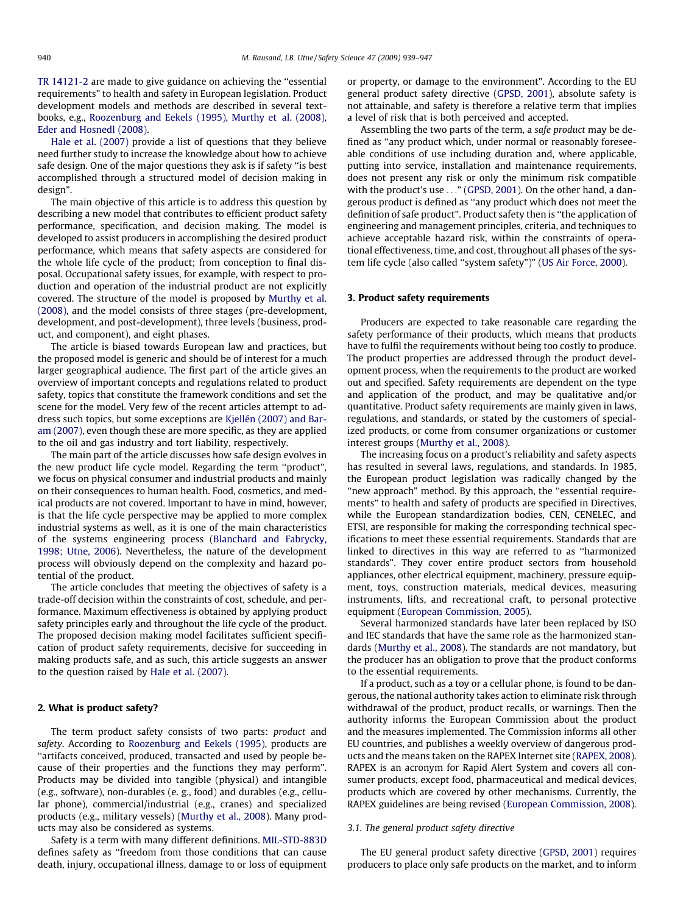[TR 14121-2](#page--1-0) are made to give guidance on achieving the ''essential requirements" to health and safety in European legislation. Product development models and methods are described in several textbooks, e.g., [Roozenburg and Eekels \(1995\), Murthy et al. \(2008\),](#page--1-0) [Eder and Hosnedl \(2008\).](#page--1-0)

[Hale et al. \(2007\)](#page--1-0) provide a list of questions that they believe need further study to increase the knowledge about how to achieve safe design. One of the major questions they ask is if safety ''is best accomplished through a structured model of decision making in design".

The main objective of this article is to address this question by describing a new model that contributes to efficient product safety performance, specification, and decision making. The model is developed to assist producers in accomplishing the desired product performance, which means that safety aspects are considered for the whole life cycle of the product; from conception to final disposal. Occupational safety issues, for example, with respect to production and operation of the industrial product are not explicitly covered. The structure of the model is proposed by [Murthy et al.](#page--1-0) [\(2008\),](#page--1-0) and the model consists of three stages (pre-development, development, and post-development), three levels (business, product, and component), and eight phases.

The article is biased towards European law and practices, but the proposed model is generic and should be of interest for a much larger geographical audience. The first part of the article gives an overview of important concepts and regulations related to product safety, topics that constitute the framework conditions and set the scene for the model. Very few of the recent articles attempt to address such topics, but some exceptions are [Kjellén \(2007\) and Bar](#page--1-0)[am \(2007\)](#page--1-0), even though these are more specific, as they are applied to the oil and gas industry and tort liability, respectively.

The main part of the article discusses how safe design evolves in the new product life cycle model. Regarding the term ''product", we focus on physical consumer and industrial products and mainly on their consequences to human health. Food, cosmetics, and medical products are not covered. Important to have in mind, however, is that the life cycle perspective may be applied to more complex industrial systems as well, as it is one of the main characteristics of the systems engineering process [\(Blanchard and Fabrycky,](#page--1-0) [1998; Utne, 2006\)](#page--1-0). Nevertheless, the nature of the development process will obviously depend on the complexity and hazard potential of the product.

The article concludes that meeting the objectives of safety is a trade-off decision within the constraints of cost, schedule, and performance. Maximum effectiveness is obtained by applying product safety principles early and throughout the life cycle of the product. The proposed decision making model facilitates sufficient specification of product safety requirements, decisive for succeeding in making products safe, and as such, this article suggests an answer to the question raised by [Hale et al. \(2007\).](#page--1-0)

### 2. What is product safety?

The term product safety consists of two parts: product and safety. According to [Roozenburg and Eekels \(1995\),](#page--1-0) products are ''artifacts conceived, produced, transacted and used by people because of their properties and the functions they may perform". Products may be divided into tangible (physical) and intangible (e.g., software), non-durables (e. g., food) and durables (e.g., cellular phone), commercial/industrial (e.g., cranes) and specialized products (e.g., military vessels) [\(Murthy et al., 2008\)](#page--1-0). Many products may also be considered as systems.

Safety is a term with many different definitions. [MIL-STD-883D](#page--1-0) defines safety as ''freedom from those conditions that can cause death, injury, occupational illness, damage to or loss of equipment or property, or damage to the environment". According to the EU general product safety directive ([GPSD, 2001\)](#page--1-0), absolute safety is not attainable, and safety is therefore a relative term that implies a level of risk that is both perceived and accepted.

Assembling the two parts of the term, a safe product may be defined as ''any product which, under normal or reasonably foreseeable conditions of use including duration and, where applicable, putting into service, installation and maintenance requirements, does not present any risk or only the minimum risk compatible with the product's use ..." ([GPSD, 2001](#page--1-0)). On the other hand, a dangerous product is defined as ''any product which does not meet the definition of safe product". Product safety then is ''the application of engineering and management principles, criteria, and techniques to achieve acceptable hazard risk, within the constraints of operational effectiveness, time, and cost, throughout all phases of the system life cycle (also called ''system safety")" ([US Air Force, 2000](#page--1-0)).

#### 3. Product safety requirements

Producers are expected to take reasonable care regarding the safety performance of their products, which means that products have to fulfil the requirements without being too costly to produce. The product properties are addressed through the product development process, when the requirements to the product are worked out and specified. Safety requirements are dependent on the type and application of the product, and may be qualitative and/or quantitative. Product safety requirements are mainly given in laws, regulations, and standards, or stated by the customers of specialized products, or come from consumer organizations or customer interest groups ([Murthy et al., 2008](#page--1-0)).

The increasing focus on a product's reliability and safety aspects has resulted in several laws, regulations, and standards. In 1985, the European product legislation was radically changed by the "new approach" method. By this approach, the "essential requirements" to health and safety of products are specified in Directives, while the European standardization bodies, CEN, CENELEC, and ETSI, are responsible for making the corresponding technical specifications to meet these essential requirements. Standards that are linked to directives in this way are referred to as ''harmonized standards". They cover entire product sectors from household appliances, other electrical equipment, machinery, pressure equipment, toys, construction materials, medical devices, measuring instruments, lifts, and recreational craft, to personal protective equipment [\(European Commission, 2005\)](#page--1-0).

Several harmonized standards have later been replaced by ISO and IEC standards that have the same role as the harmonized standards [\(Murthy et al., 2008](#page--1-0)). The standards are not mandatory, but the producer has an obligation to prove that the product conforms to the essential requirements.

If a product, such as a toy or a cellular phone, is found to be dangerous, the national authority takes action to eliminate risk through withdrawal of the product, product recalls, or warnings. Then the authority informs the European Commission about the product and the measures implemented. The Commission informs all other EU countries, and publishes a weekly overview of dangerous products and the means taken on the RAPEX Internet site [\(RAPEX, 2008\)](#page--1-0). RAPEX is an acronym for Rapid Alert System and covers all consumer products, except food, pharmaceutical and medical devices, products which are covered by other mechanisms. Currently, the RAPEX guidelines are being revised [\(European Commission, 2008\)](#page--1-0).

#### 3.1. The general product safety directive

The EU general product safety directive ([GPSD, 2001\)](#page--1-0) requires producers to place only safe products on the market, and to inform